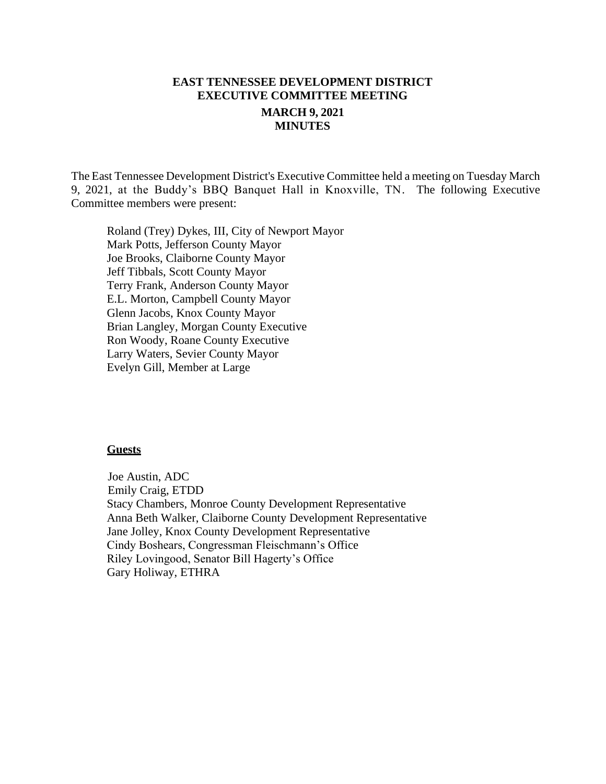# **EAST TENNESSEE DEVELOPMENT DISTRICT EXECUTIVE COMMITTEE MEETING MARCH 9, 2021 MINUTES**

The East Tennessee Development District's Executive Committee held a meeting on Tuesday March 9, 2021, at the Buddy's BBQ Banquet Hall in Knoxville, TN. The following Executive Committee members were present:

Roland (Trey) Dykes, III, City of Newport Mayor Mark Potts, Jefferson County Mayor Joe Brooks, Claiborne County Mayor Jeff Tibbals, Scott County Mayor Terry Frank, Anderson County Mayor E.L. Morton, Campbell County Mayor Glenn Jacobs, Knox County Mayor Brian Langley, Morgan County Executive Ron Woody, Roane County Executive Larry Waters, Sevier County Mayor Evelyn Gill, Member at Large

#### **Guests**

 Joe Austin, ADC Emily Craig, ETDD Stacy Chambers, Monroe County Development Representative Anna Beth Walker, Claiborne County Development Representative Jane Jolley, Knox County Development Representative Cindy Boshears, Congressman Fleischmann's Office Riley Lovingood, Senator Bill Hagerty's Office Gary Holiway, ETHRA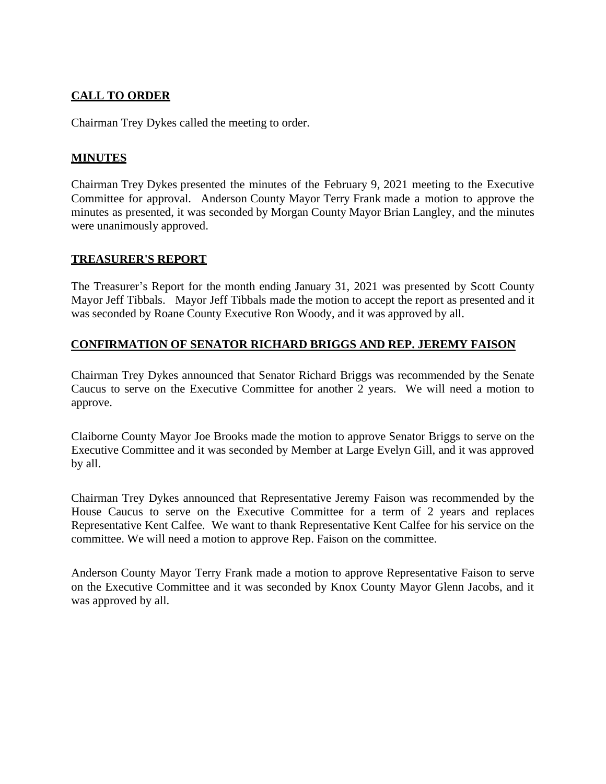# **CALL TO ORDER**

Chairman Trey Dykes called the meeting to order.

### **MINUTES**

Chairman Trey Dykes presented the minutes of the February 9, 2021 meeting to the Executive Committee for approval. Anderson County Mayor Terry Frank made a motion to approve the minutes as presented, it was seconded by Morgan County Mayor Brian Langley, and the minutes were unanimously approved.

### **TREASURER'S REPORT**

The Treasurer's Report for the month ending January 31, 2021 was presented by Scott County Mayor Jeff Tibbals. Mayor Jeff Tibbals made the motion to accept the report as presented and it was seconded by Roane County Executive Ron Woody, and it was approved by all.

### **CONFIRMATION OF SENATOR RICHARD BRIGGS AND REP. JEREMY FAISON**

Chairman Trey Dykes announced that Senator Richard Briggs was recommended by the Senate Caucus to serve on the Executive Committee for another 2 years. We will need a motion to approve.

Claiborne County Mayor Joe Brooks made the motion to approve Senator Briggs to serve on the Executive Committee and it was seconded by Member at Large Evelyn Gill, and it was approved by all.

Chairman Trey Dykes announced that Representative Jeremy Faison was recommended by the House Caucus to serve on the Executive Committee for a term of 2 years and replaces Representative Kent Calfee. We want to thank Representative Kent Calfee for his service on the committee. We will need a motion to approve Rep. Faison on the committee.

Anderson County Mayor Terry Frank made a motion to approve Representative Faison to serve on the Executive Committee and it was seconded by Knox County Mayor Glenn Jacobs, and it was approved by all.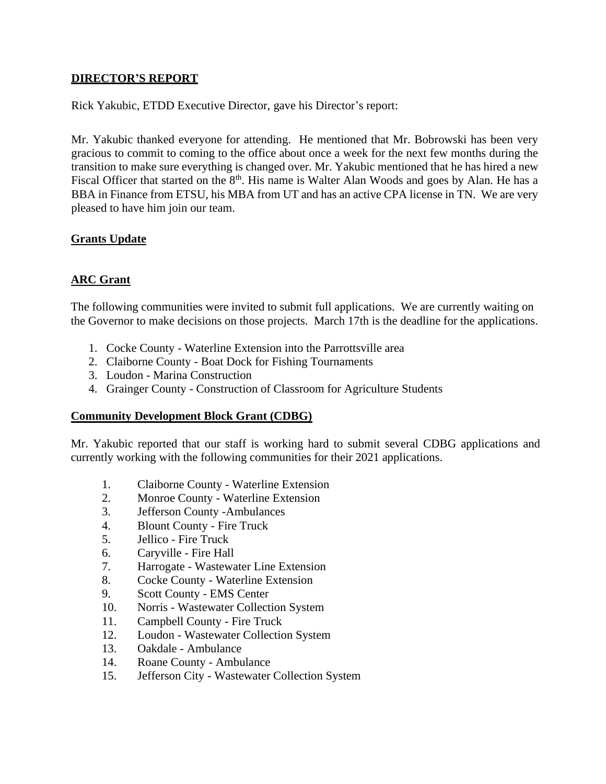### **DIRECTOR'S REPORT**

Rick Yakubic, ETDD Executive Director, gave his Director's report:

Mr. Yakubic thanked everyone for attending. He mentioned that Mr. Bobrowski has been very gracious to commit to coming to the office about once a week for the next few months during the transition to make sure everything is changed over. Mr. Yakubic mentioned that he has hired a new Fiscal Officer that started on the 8<sup>th</sup>. His name is Walter Alan Woods and goes by Alan. He has a BBA in Finance from ETSU, his MBA from UT and has an active CPA license in TN. We are very pleased to have him join our team.

### **Grants Update**

### **ARC Grant**

The following communities were invited to submit full applications. We are currently waiting on the Governor to make decisions on those projects. March 17th is the deadline for the applications.

- 1. Cocke County Waterline Extension into the Parrottsville area
- 2. Claiborne County Boat Dock for Fishing Tournaments
- 3. Loudon Marina Construction
- 4. Grainger County Construction of Classroom for Agriculture Students

#### **Community Development Block Grant (CDBG)**

Mr. Yakubic reported that our staff is working hard to submit several CDBG applications and currently working with the following communities for their 2021 applications.

- 1. Claiborne County Waterline Extension
- 2. Monroe County Waterline Extension
- 3. Jefferson County -Ambulances
- 4. Blount County Fire Truck
- 5. Jellico Fire Truck
- 6. Caryville Fire Hall
- 7. Harrogate Wastewater Line Extension
- 8. Cocke County Waterline Extension
- 9. Scott County EMS Center
- 10. Norris Wastewater Collection System
- 11. Campbell County Fire Truck
- 12. Loudon Wastewater Collection System
- 13. Oakdale Ambulance
- 14. Roane County Ambulance
- 15. Jefferson City Wastewater Collection System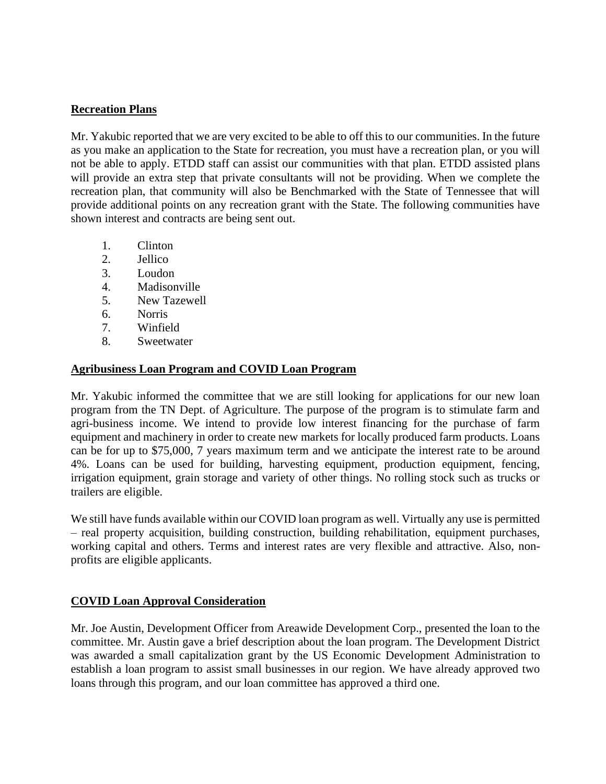### **Recreation Plans**

Mr. Yakubic reported that we are very excited to be able to off this to our communities. In the future as you make an application to the State for recreation, you must have a recreation plan, or you will not be able to apply. ETDD staff can assist our communities with that plan. ETDD assisted plans will provide an extra step that private consultants will not be providing. When we complete the recreation plan, that community will also be Benchmarked with the State of Tennessee that will provide additional points on any recreation grant with the State. The following communities have shown interest and contracts are being sent out.

- 1. Clinton
- 2. Jellico
- 3. Loudon
- 4. Madisonville
- 5. New Tazewell
- 6. Norris
- 7. Winfield
- 8. Sweetwater

#### **Agribusiness Loan Program and COVID Loan Program**

Mr. Yakubic informed the committee that we are still looking for applications for our new loan program from the TN Dept. of Agriculture. The purpose of the program is to stimulate farm and agri-business income. We intend to provide low interest financing for the purchase of farm equipment and machinery in order to create new markets for locally produced farm products. Loans can be for up to \$75,000, 7 years maximum term and we anticipate the interest rate to be around 4%. Loans can be used for building, harvesting equipment, production equipment, fencing, irrigation equipment, grain storage and variety of other things. No rolling stock such as trucks or trailers are eligible.

We still have funds available within our COVID loan program as well. Virtually any use is permitted – real property acquisition, building construction, building rehabilitation, equipment purchases, working capital and others. Terms and interest rates are very flexible and attractive. Also, nonprofits are eligible applicants.

### **COVID Loan Approval Consideration**

Mr. Joe Austin, Development Officer from Areawide Development Corp., presented the loan to the committee. Mr. Austin gave a brief description about the loan program. The Development District was awarded a small capitalization grant by the US Economic Development Administration to establish a loan program to assist small businesses in our region. We have already approved two loans through this program, and our loan committee has approved a third one.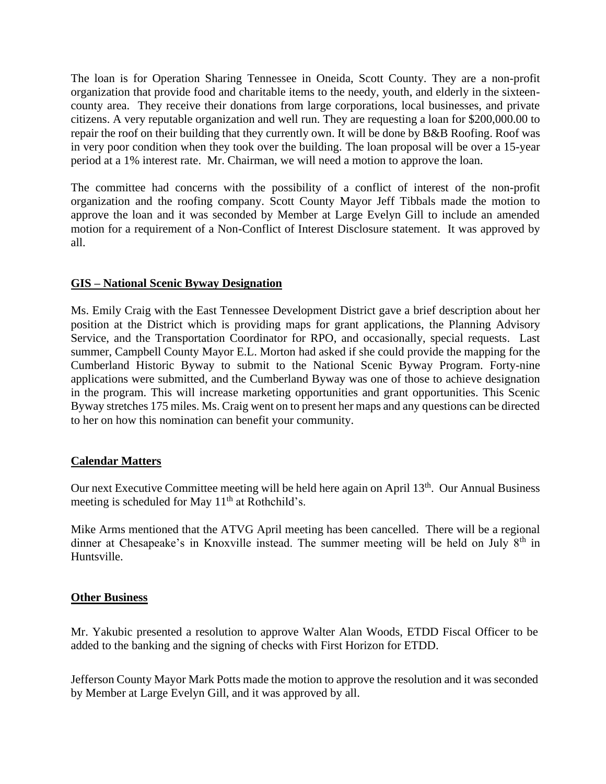The loan is for Operation Sharing Tennessee in Oneida, Scott County. They are a non-profit organization that provide food and charitable items to the needy, youth, and elderly in the sixteencounty area. They receive their donations from large corporations, local businesses, and private citizens. A very reputable organization and well run. They are requesting a loan for \$200,000.00 to repair the roof on their building that they currently own. It will be done by B&B Roofing. Roof was in very poor condition when they took over the building. The loan proposal will be over a 15-year period at a 1% interest rate. Mr. Chairman, we will need a motion to approve the loan.

The committee had concerns with the possibility of a conflict of interest of the non-profit organization and the roofing company. Scott County Mayor Jeff Tibbals made the motion to approve the loan and it was seconded by Member at Large Evelyn Gill to include an amended motion for a requirement of a Non-Conflict of Interest Disclosure statement. It was approved by all.

### **GIS – National Scenic Byway Designation**

Ms. Emily Craig with the East Tennessee Development District gave a brief description about her position at the District which is providing maps for grant applications, the Planning Advisory Service, and the Transportation Coordinator for RPO, and occasionally, special requests. Last summer, Campbell County Mayor E.L. Morton had asked if she could provide the mapping for the Cumberland Historic Byway to submit to the National Scenic Byway Program. Forty-nine applications were submitted, and the Cumberland Byway was one of those to achieve designation in the program. This will increase marketing opportunities and grant opportunities. This Scenic Byway stretches 175 miles. Ms. Craig went on to present her maps and any questions can be directed to her on how this nomination can benefit your community.

### **Calendar Matters**

Our next Executive Committee meeting will be held here again on April 13<sup>th</sup>. Our Annual Business meeting is scheduled for May  $11<sup>th</sup>$  at Rothchild's.

Mike Arms mentioned that the ATVG April meeting has been cancelled. There will be a regional dinner at Chesapeake's in Knoxville instead. The summer meeting will be held on July  $8<sup>th</sup>$  in Huntsville.

#### **Other Business**

Mr. Yakubic presented a resolution to approve Walter Alan Woods, ETDD Fiscal Officer to be added to the banking and the signing of checks with First Horizon for ETDD.

Jefferson County Mayor Mark Potts made the motion to approve the resolution and it was seconded by Member at Large Evelyn Gill, and it was approved by all.